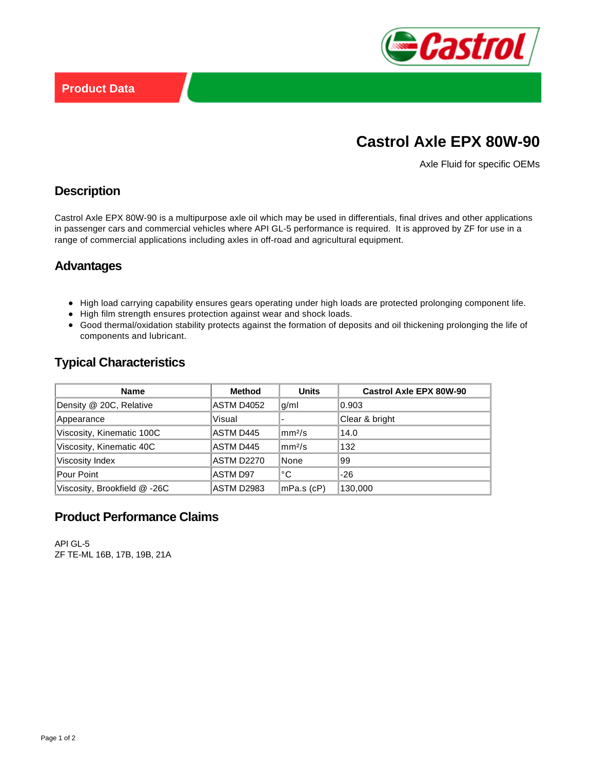

# **Castrol Axle EPX 80W-90**

Axle Fluid for specific OEMs

### **Description**

Castrol Axle EPX 80W-90 is a multipurpose axle oil which may be used in differentials, final drives and other applications in passenger cars and commercial vehicles where API GL-5 performance is required. It is approved by ZF for use in a range of commercial applications including axles in off-road and agricultural equipment.

### **Advantages**

- High load carrying capability ensures gears operating under high loads are protected prolonging component life.
- High film strength ensures protection against wear and shock loads.
- Good thermal/oxidation stability protects against the formation of deposits and oil thickening prolonging the life of components and lubricant.

# **Typical Characteristics**

| <b>Name</b>                  | Method            | <b>Units</b>             | <b>Castrol Axle EPX 80W-90</b> |
|------------------------------|-------------------|--------------------------|--------------------------------|
| Density @ 20C, Relative      | ASTM D4052        | g/ml                     | 0.903                          |
| Appearance                   | Visual            |                          | Clear & bright                 |
| Viscosity, Kinematic 100C    | ASTM D445         | $\rm{kmn^2/s}$           | 14.0                           |
| Viscosity, Kinematic 40C     | ASTM D445         | $\lfloor mm^2/s \rfloor$ | 132                            |
| Viscosity Index              | <b>ASTM D2270</b> | None                     | 99                             |
| Pour Point                   | <b>ASTM D97</b>   | °C                       | $-26$                          |
| Viscosity, Brookfield @ -26C | <b>ASTM D2983</b> | $ mPa.s$ (cP)            | 130,000                        |

## **Product Performance Claims**

API GL-5 ZF TE-ML 16B, 17B, 19B, 21A